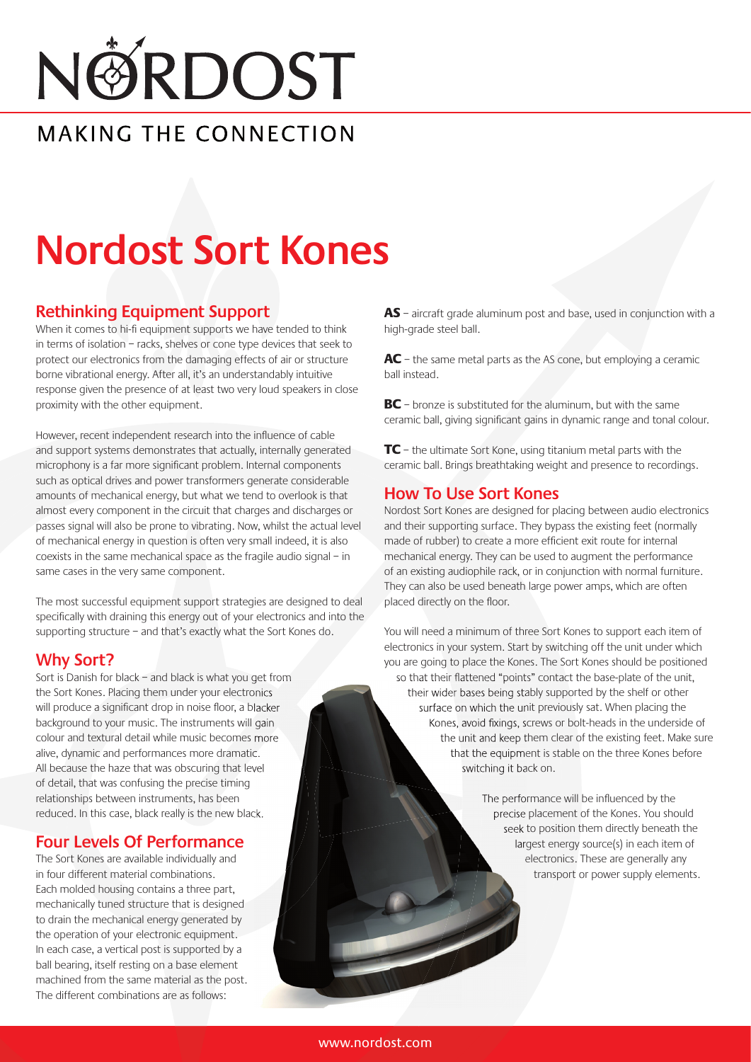# NØRDOST

#### MAKING THE CONNECTION

### **Nordost Sort Kones**

#### **Rethinking Equipment Support**

When it comes to hi-fi equipment supports we have tended to think in terms of isolation – racks, shelves or cone type devices that seek to protect our electronics from the damaging effects of air or structure borne vibrational energy. After all, it's an understandably intuitive response given the presence of at least two very loud speakers in close proximity with the other equipment.

However, recent independent research into the influence of cable and support systems demonstrates that actually, internally generated microphony is a far more significant problem. Internal components such as optical drives and power transformers generate considerable amounts of mechanical energy, but what we tend to overlook is that almost every component in the circuit that charges and discharges or passes signal will also be prone to vibrating. Now, whilst the actual level of mechanical energy in question is often very small indeed, it is also coexists in the same mechanical space as the fragile audio signal – in same cases in the very same component.

The most successful equipment support strategies are designed to deal specifically with draining this energy out of your electronics and into the supporting structure – and that's exactly what the Sort Kones do.

#### **Why Sort?**

Sort is Danish for black – and black is what you get from the Sort Kones. Placing them under your electronics will produce a significant drop in noise floor, a blacker background to your music. The instruments will gain colour and textural detail while music becomes more alive, dynamic and performances more dramatic. All because the haze that was obscuring that level of detail, that was confusing the precise timing relationships between instruments, has been reduced. In this case, black really is the new black.

#### **Four Levels Of Performance**

The Sort Kones are available individually and in four different material combinations. Each molded housing contains a three part, mechanically tuned structure that is designed to drain the mechanical energy generated by the operation of your electronic equipment. In each case, a vertical post is supported by a ball bearing, itself resting on a base element machined from the same material as the post. The different combinations are as follows:

AS – aircraft grade aluminum post and base, used in conjunction with a high-grade steel ball.

AC – the same metal parts as the AS cone, but employing a ceramic ball instead.

BC – bronze is substituted for the aluminum, but with the same ceramic ball, giving significant gains in dynamic range and tonal colour.

TC – the ultimate Sort Kone, using titanium metal parts with the ceramic ball. Brings breathtaking weight and presence to recordings.

#### **How To Use Sort Kones**

Nordost Sort Kones are designed for placing between audio electronics and their supporting surface. They bypass the existing feet (normally made of rubber) to create a more efficient exit route for internal mechanical energy. They can be used to augment the performance of an existing audiophile rack, or in conjunction with normal furniture. They can also be used beneath large power amps, which are often placed directly on the floor.

You will need a minimum of three Sort Kones to support each item of electronics in your system. Start by switching off the unit under which you are going to place the Kones. The Sort Kones should be positioned so that their flattened "points" contact the base-plate of the unit, their wider bases being stably supported by the shelf or other surface on which the unit previously sat. When placing the Kones, avoid fixings, screws or bolt-heads in the underside of the unit and keep them clear of the existing feet. Make sure that the equipment is stable on the three Kones before switching it back on.

> The performance will be influenced by the precise placement of the Kones. You should seek to position them directly beneath the largest energy source(s) in each item of electronics. These are generally any transport or power supply elements.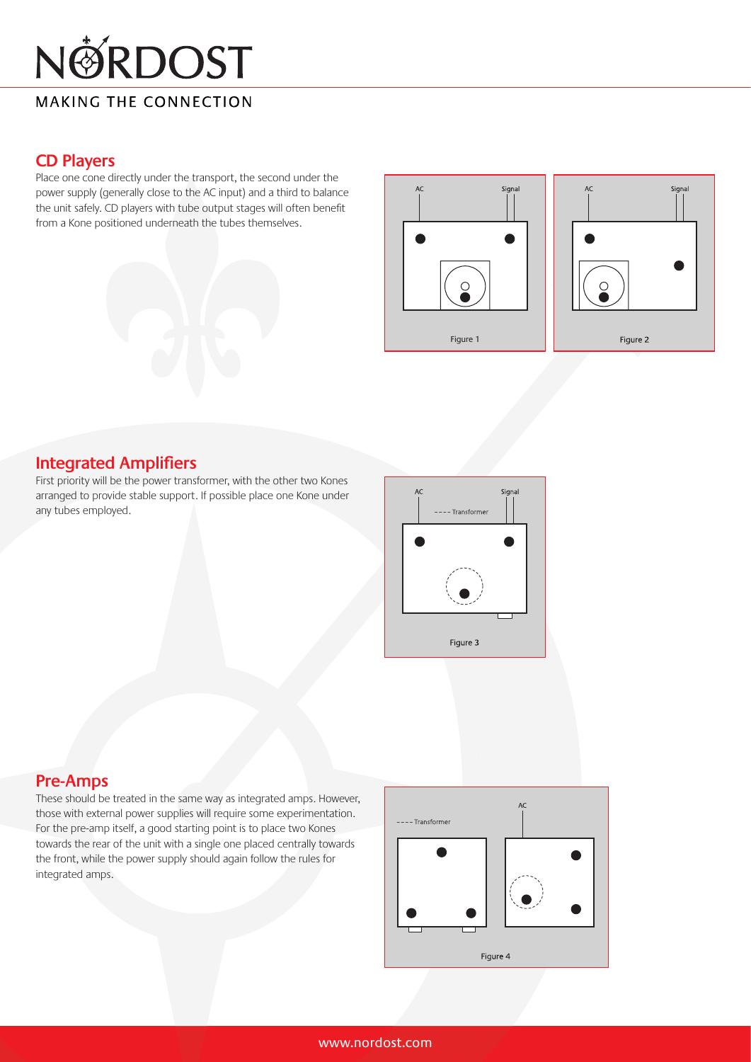# NØRDOST

#### **MAKING THE CONNECTION**

#### **CD Players**

Place one cone directly under the transport, the second under the power supply (generally close to the AC input) and a third to balance the unit safely. CD players with tube output stages will often benefit from a Kone positioned underneath the tubes themselves.





#### **Integrated Amplifiers**

First priority will be the power transformer, with the other two Kones arranged to provide stable support. If possible place one Kone under any tubes employed.



#### **Pre-Amps**

These should be treated in the same way as integrated amps. However, those with external power supplies will require some experimentation. For the pre-amp itself, a good starting point is to place two Kones towards the rear of the unit with a single one placed centrally towards the front, while the power supply should again follow the rules for integrated amps.

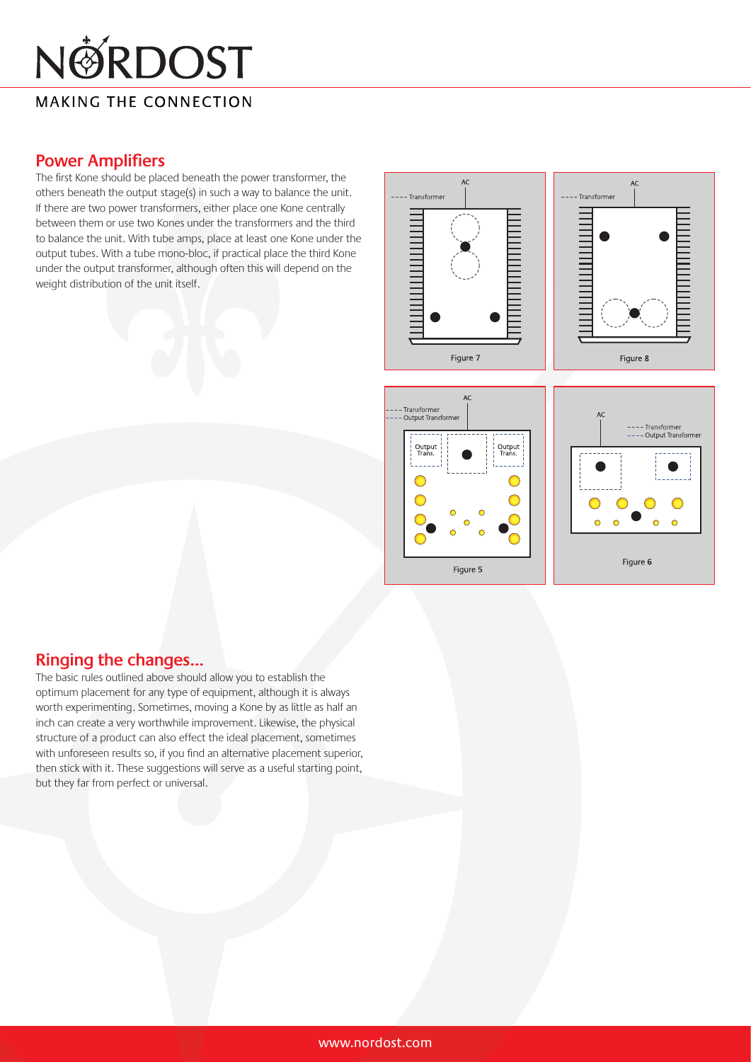# NØRDOST

**MAKING THE CONNECTION** 

#### **Power Amplifiers**

The first Kone should be placed beneath the power transformer, the others beneath the output stage(s) in such a way to balance the unit. If there are two power transformers, either place one Kone centrally between them or use two Kones under the transformers and the third to balance the unit. With tube amps, place at least one Kone under the output tubes. With a tube mono-bloc, if practical place the third Kone under the output transformer, although often this will depend on the weight distribution of the unit itself.





#### **Ringing the changes...**

The basic rules outlined above should allow you to establish the optimum placement for any type of equipment, although it is always worth experimenting. Sometimes, moving a Kone by as little as half an inch can create a very worthwhile improvement. Likewise, the physical structure of a product can also effect the ideal placement, sometimes with unforeseen results so, if you find an alternative placement superior, then stick with it. These suggestions will serve as a useful starting point, but they far from perfect or universal.